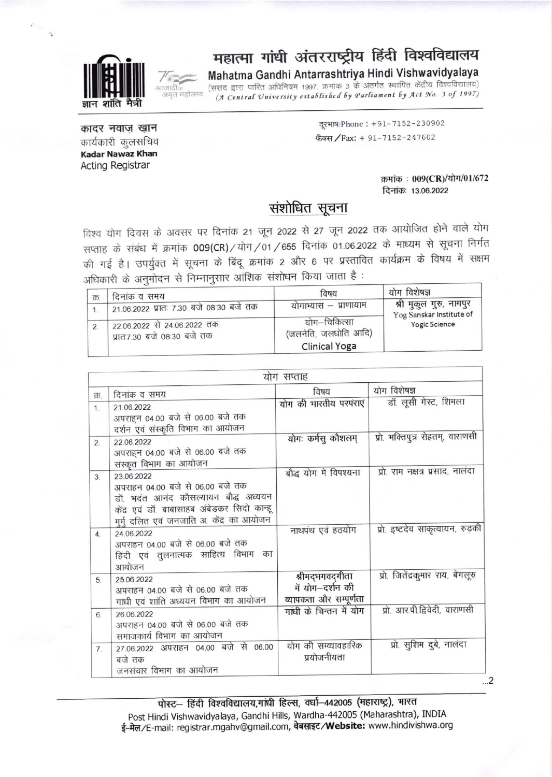

# महात्मा गांधी अंतरराष्ट्रीय हिंदी विश्वविद्यालय

### Mahatma Gandhi Antarrashtriya Hindi Vishwavidyalaya

(संसद द्वारा पारित अधिनियम 1997, क्रमांक 3 के अंतर्गत स्थापित केंद्रीय विश्वविद्यालय) (A Central University established by Parliament by Act No. 3 of 1997)

कादर नवाज़ ख़ान कार्यकारी कुलसचिव **Kadar Nawaz Khan Acting Registrar** 

दरभाष/Phone: +91-7152-230902 फैक्स / Fax: + 91-7152-247602

> क्रमांक: 009(CR)/योग/01/672 दिनांकः 13.06.2022

#### संशोधित सूचना

विश्व योग दिवस के अवसर पर दिनांक 21 जून 2022 से 27 जून 2022 तक आयोजित होने वाले योग सप्ताह के संबंध में क्रमांक 009(CR)/योग/01/655 दिनांक 01.06.2022 के माध्यम से सूचना निर्गत की गई है। उपर्युक्त में सूचना के बिंदू क्रमांक 2 और 6 पर प्रस्तावित कार्यक्रम के विषय में सक्षम अधिकारी के अनुमोदन से निम्नानुसार आंशिक संशोधन किया जाता है:

| क्र | दिनांक व समय                                               | विषय                                                         | योग विशेषज्ञ                                                                |
|-----|------------------------------------------------------------|--------------------------------------------------------------|-----------------------------------------------------------------------------|
|     | 21.06.2022 प्रातः 7.30 बजे 08:30 बजे तक                    | योगाभ्यास – प्राणायाम                                        | श्री मुकुल गुरु, नागपुर<br>Yog Sanskar Institute of<br><b>Yogic Science</b> |
|     | 22.06.2022 से 24.06.2022 तक<br>प्रातः7.30 बजे 08:30 बजे तक | योग–चिकित्सा<br>(जलनेति, जलधोति आदि)<br><b>Clinical Yoga</b> |                                                                             |

| योग सप्ताह     |                                                                                                                                                                                    |                                                                |                                   |  |
|----------------|------------------------------------------------------------------------------------------------------------------------------------------------------------------------------------|----------------------------------------------------------------|-----------------------------------|--|
| क              | दिनांक व समय                                                                                                                                                                       | विषय                                                           | योग विशेषज्ञ                      |  |
| 1              | 21.06.2022<br>अपराहन 04.00 बजे से 06.00 बजे तक<br>दर्शन एवं संस्कृति विभाग का आयोजन                                                                                                | योग की भारतीय परपंराएं                                         | डॉ. लूसी गेस्ट, शिमला             |  |
| $\overline{2}$ | 22.06.2022<br>अपराहन 04.00 बजे से 06.00 बजे तक<br>संस्कृत विभाग का आयोजन                                                                                                           | योगः कर्मस् कौशलम्                                             | प्रो. भक्तिपुत्र रोहतम्, वाराणसी  |  |
| 3.             | 23 06 2022<br>अपराहन 04.00 बजे से 06.00 बजे तक<br>डॉ. भदंत आनंद कौसल्यायन बौद्ध अध्ययन<br>केंद्र एवं डॉ. बाबासाहब अंबेडकर सिदो कान्हू<br>मुर्मु दलित एवं जनजाति अ. केंद्र का आयोजन | बौद्ध योग में विपश्यना                                         | प्रो. राम नक्षत्र प्रसाद, नालंदा  |  |
| $\overline{4}$ | 24.06.2022<br>अपराहन 04.00 बजे से 06.00 बजे तक<br>हिंदी एवं तुलनात्मक साहित्य विभाग का<br>आयोजन                                                                                    | नाथपंथ एवं हठयोग                                               | प्रो. इष्टदेव सांकृत्यायन, रुड़की |  |
| 5.             | 25.06.2022<br>अपराहन 04.00 बजे से 06.00 बजे तक<br>गांधी एवं शांति अध्ययन विभाग का आयोजन                                                                                            | श्रीमद्भगवद्गीता<br>में योग-दर्शन की<br>व्यापकता और सम्पूर्णता | प्रो. जितेंद्रकुमार राय, बेंगलूरु |  |
| 6.             | 26.06.2022<br>अपराहन 04.00 बजे से 06.00 बजे तक<br>समाजकार्य विभाग का आयोजन                                                                                                         | गांधी के चिन्तन में योग                                        | प्रो. आर.पी.द्विवेदी, वाराणसी     |  |
| 7.             | 27.06.2022 अपराहन 04.00 बजे से 06.00<br>बजे तक<br>जनसंचार विभाग का आयोजन                                                                                                           | योग की सम्व्यावहारिक<br>प्रयोजनीयता                            | प्रो. सुशिम दुबे, नालंदा          |  |

पोस्ट- हिंदी विश्वविद्यालय,गांधी हिल्स, वर्धा-442005 (महाराष्ट्र), भारत Post Hindi Vishwavidyalaya, Gandhi Hills, Wardha-442005 (Maharashtra), INDIA ई-मेल/E-mail: registrar.mgahv@gmail.com, वेबसाइट/Website: www.hindivishwa.org

 $\ldots$ <sup>2</sup>